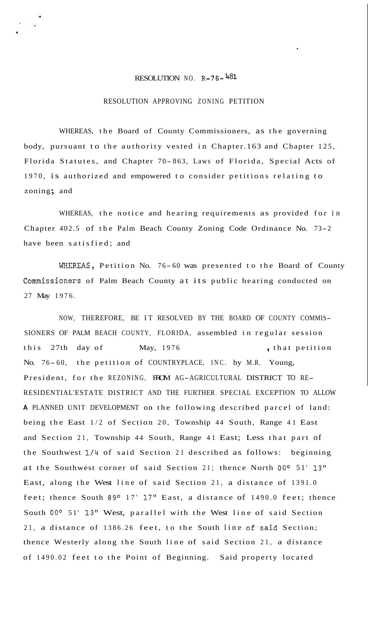## RESOLUTION NO. R-76-481

*n* 

.

## RESOLUTION APPROVING ZONING PETITION

WHEREAS, the Board of County Commissioners, as the governing body, pursuant to the authority vested in Chapter.163 and Chapter 125, Florida Statutes, and Chapter 70-863, Laws of Florida, Special Acts of 1970, is authorized and empowered to consider petitions relating to zoning; and

WHEREAS, the notice and hearing requirements as provided for in Chapter 402.5 of the Palm Beach County Zoning Code Ordinance No. 73-2 have been satisfied; and

WHEREAS, Petition No. 76-60 was presented to the Board of County Commissioners of Palm Beach County at its public hearing conducted on 27 May 1976.

NOW, THEREFORE, BE IT RESOLVED BY THE BOARD OF COUNTY COMMIS-SIONERS OF PALM BEACH COUNTY, FLORIDA, assembled in regular session this 27th day of May, 1976 , that petition No. 76-60, the petition of COUNTRYPLACE, INC. by M.R. Young, President, for the REZONING, FROM AG-AGRICULTURAL DISTRICT TO RE-RESIDENTIAL'ESTATE DISTRICT AND THE FURTHER SPECIAL EXCEPTION TO ALLOW **A** PLANNED UNIT DEVELOPMENT on the following described parcel of land: being the East 1/2 of Section 20, Township 44 South, Range 41 East and Section 21, Township 44 South, Range 41 East; Less that part of the Southwest 1/4 of said Section 21 described as follows: beginning at the Southwest corner of said Section 21; thence North **OOo** 51' 13'' East, along the West line of said Section 21, a distance of 1391.0 feet; thence South 89 $^{\circ}$  17' 17" East, a distance of 1490.0 feet; thence South **OOo** 51' **13''** West, parallel with the West line of said Section 21, a distance of 1386.26 feet, to the South line of said Section; thence Westerly along the South line of said Section 21, a distance of 1490.02 feet to the Point of Beginning. Said property located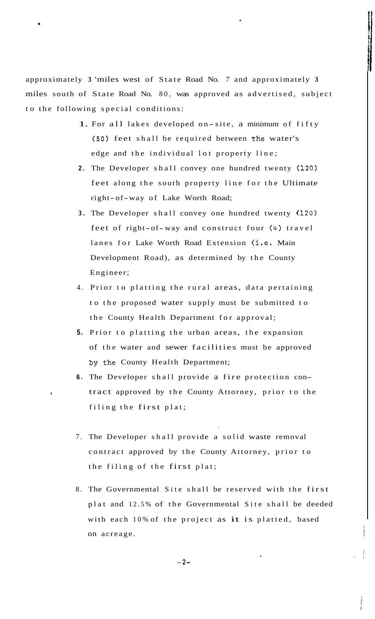approximately **3** 'miles west of State Road No. 7 and approximately **<sup>3</sup>** miles south of State Road No. 80, was approved as advertised, subject to the following special conditions:

.

- 1. For all lakes developed on-site, a minimum of fifty (50) feet shall be required between the water's edge and the individual lot property line;
- **2.** The Developer shall convey one hundred twenty **(120)**  feet along the south property line for the Ultimate right-of-way of Lake Worth Road;
- **3.** The Developer shall convey one hundred twenty **(120)**  feet of right-of-way and construct four (4) travel lanes for Lake Worth Road Extension (i.e. Main Development Road), as determined by the County Engineer;
- 4. Prior to platting the rural areas, data pertaining to the proposed water supply must be submitted to the County Health Department for approval;
- **5.** Prior to platting the urban areas, the expansion of the water and sewer facilities must be approved by.the County Health Department;
- **6.** The Developer shall provide a fire protection con-**<sup>I</sup>**tract approved by the County Attorney, prior to the filing the first plat;
- 7. The Developer shall provide a solid waste removal contract approved by the County Attorney, prior to the filing of the first plat;
- 8. The Governmental Site shall be reserved with the first plat and 12.5% of the Governmental Site shall be deeded with each 10% of the project as it is platted, based on acreage.

**I**  i *1* 

 $-2-$